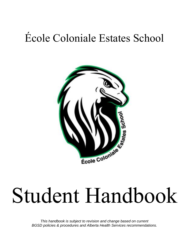# École Coloniale Estates School



# Student Handbook

*This handbook is subject to revision and change based on current BGSD policies & procedures and Alberta Health Services recommendations.*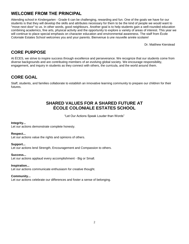# **WELCOME FROM THE PRINCIPAL**

Attending school in Kindergarten - Grade 6 can be challenging, rewarding and fun. One of the goals we have for our students is that they will develop the skills and attributes necessary for them to be the kind of people we would want to "move next door" to us. In other words, good neighbours. Another goal is to help students gain a well-rounded education combining academics, fine arts, physical activity and the opportunity to explore a variety of areas of interest. This year we will continue to place special emphasis on character education and environmental awareness. The staff from École Coloniale Estates School welcomes you and your parents. Bienvenue à une nouvelle année scolaire!

Dr. Matthew Kierstead

# **CORE PURPOSE**

At ÉCES, we strive to inspire success through excellence and perseverance. We recognize that our students come from diverse backgrounds and are contributing members of an evolving global society. We encourage responsibility, engagement, and inquiry in students as they connect with others, the curricula, and the world around them.

# **CORE GOAL**

Staff, students, and families collaborate to establish an innovative learning community to prepare our children for their futures.

# **SHARED VALUES FOR A SHARED FUTURE AT ÉCOLE COLONIALE ESTATES SCHOOL**

"Let Our Actions Speak Louder than Words"

#### **Integrity...**

Let our actions demonstrate complete honesty.

#### **Respect...**

Let our actions value the rights and opinions of others.

#### **Support...**

Let our actions lend Strength, Encouragement and Compassion to others.

#### **Success...**

Let our actions applaud every accomplishment - Big or Small.

#### **Inspiration...**

Let our actions communicate enthusiasm for creative thought.

#### **Community...**

Let our actions celebrate our differences and foster a sense of belonging.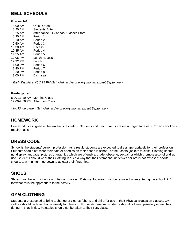#### **BELL SCHEDULE**

#### **Grades 1-6**

| 8:00 AM   | Office Opens                        |
|-----------|-------------------------------------|
| 8:20 AM   | <b>Students Enter</b>               |
| 8:25 AM   | Attendance, O Canada, Classes Start |
| 8:30 AM   | Period 1                            |
| $9:10$ AM | Period 2                            |
| $9:50$ AM | Period 3                            |
| 10:30 AM  | Recess                              |
| 10:45 AM  | Period 4                            |
| 11:25 AM  | Period 5                            |
| 12:05 PM  | Lunch Recess                        |
| 12:32 PM  | Lunch                               |
| $1:00$ PM | Period 6                            |
| 1:40 PM   | Period 7                            |
| $2:20$ PM | Period 8                            |
| 3:00 PM   | Dismissal                           |

*\* Early Dismissal @ 2:15 PM (1st Wednesday of every month, except September)*

#### **Kindergarten**

8:20-11:10 AM Morning Class 12:00-2:50 PM Afternoon Class

*\* No Kindergarten (1st Wednesday of every month, except September)*

#### **HOMEWORK**

Homework is assigned at the teacher's discretion. Students and their parents are encouraged to review PowerSchool on a regular basis.

# **DRESS CODE**

School is the students' current profession. As a result, students are expected to dress appropriately for their profession. Students should not wear their hats or hoodies on their heads in school, or their coats/ jackets to class. Clothing should not display language, pictures or graphics which are offensive, crude, obscene, sexual, or which promote alcohol or drug use. Students should wear their clothing in such a way that their stomachs, underwear or bra is not exposed; shorts should, at a minimum, go down to at least their fingertips.

#### **SHOES**

Shoes must be worn indoors and be non-marking. Dirty/wet footwear must be removed when entering the school. P.E. footwear must be appropriate to the activity.

# **GYM CLOTHING**

Students are expected to bring a change of clothes (shorts and shirt) for use in their Physical Education classes. Gym clothes should be taken home weekly for cleaning. For safety reasons, students should not wear jewellery or watches during P.E. activities. Valuables should not be taken to their P.E. class.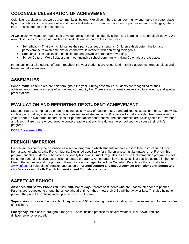# **COLONIALE CELEBRATION OF ACHIEVEMENT**

Coloniale is a place where we as a community all belong. We all contribute to our community and make it a better place by our contributions. It is a place where students feel safe to grow and explore new opportunities and challenges, where they are accepted for their best efforts.

At Coloniale, we want our students to develop habits of mind that identify school and learning as a pursuit all its own. We want all students to feel valued as both individuals and as part of the community.

- Self-efficacy That each child values their particular set of strengths. Children exhibit determination and perseverance to overcome obstacles that would interfere with achieving their goals.
- Emotional The satisfaction of challenge and growth is personally rewarding.
- School Culture We all play a part in our inclusive school community making Coloniale a great place.

In recognition of all students' efforts throughout the year students are recognized in their classrooms, groups, clubs and teams and at assemblies.

# **ASSEMBLIES**

**School Wide Assemblies** are held throughout the year. During assemblies, students are recognized for their achievements in many aspects of school and community life. There are also guest speakers, cultural events, and special presentations.

# **EVALUATION AND REPORTING OF STUDENT ACHIEVEMENT**

Student progress is measured on an on-going basis by way of teacher tests, standardized tests, assignments, homework, in-class participation, anecdotal records and examples of student work. Progress is formally reported two times over the year. There are two formal opportunities for parent/teacher conferences. The conferences are typically held in November and March. Parents are encouraged to contact teachers at any time during the school year to discuss their child's progress.

**[ECES Assessment Plan](https://eces.blackgold.ca/about/assessment-plan/)** 

# **FRENCH IMMERSION**

French Immersion may be described as a school program in which students receive most of their instruction in French from a teacher who speaks French fluently. Designed specifically for children whose first language is not French, this program enables students to become functionally bilingual. Curriculum guidelines ensure that immersion programs meet the same general objectives as English language programs. An important key to success is a positive attitude in the home toward the language and the program. Parents are encouraged to visit the Canadian Parents for French website at [www.cpf.ca](http://www.cpf.ca/) for valuable information and support. **Parental support and encouragement are major contributors to a child's success in both French Immersion and English programs.**

# **SAFETY AT SCHOOL**

**Absences and Safety Phone (780-929-5904–24hrs/day)** Parents of students who are unaccounted for are phoned. Parents are requested to phone the school ahead of time if they know their child will be away or late. This also helps to prevent the parent from being interrupted at work or at home.

**Supervision** is provided before school beginning at 8:05 am, during breaks including lunch, recesses, and for ten minutes after school.

**Emergency Drills** occur throughout the year. These include practice for severe weather, lock-down, and fire drills/emergency evacuation.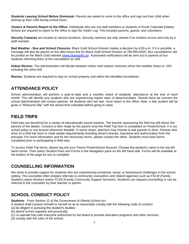**Students Leaving School Before Dismissal:** Parents are asked to come to the office and sign out their child when picking up their child during school hours.

**Visitors & Parents Report to the Office:** Individuals who are not staff members or students of École Coloniale Estates School are required to report to the office to sign the Visitor Log. This includes parents, guests, and volunteers.

**Security Cameras** are located at various locations. Security cameras are only viewed if an incident occurs and only by a staff member.

**Bad Weather - Bus and School Closures:** Black Gold School Division makes a decision by 6:00 a.m. If it is possible, a message will also be placed on the after-hours line for Black Gold School Division at 780-955-6025. Bus cancellations will be posted on the Black Gold website [\(www.blackgold.ca\)](https://www.blackgold.ca/). Automated notifications will be sent out to parents of bus students informing them of the cancellation as well.

**Indoor Recess:** The administration will decide between indoor and outdoor recesses when the weather drops to -20C including the wind chill.

**Recess:** Students are required to stay on school property and within the identified boundaries.

#### **ATTENDANCE POLICY**

School administration will perform a year-to-date and a monthly check of students' attendance at the end of each month. This will identify any students who are experiencing higher rates of absences/lates. Should there be concern the school administration will contact parents. All students who are late, must report to the office. Note: a late student will be given a "Welcome Slip" with the arrival time indicated before going to class.

#### **FIELD TRIPS**

Field trips are beneficial for a variety of educationally sound reasons. The teacher sponsoring the field trip will inform the parents of the details. Consent is then made by the parent once the Field Trip form is completed on PowerSchool. It is our school policy to use busses whenever feasible. In some cases, teachers may choose to ask parents to drive. Parents who drive on a field trip have to meet certain requirements including driver's license, insurance and authorization from the principal. For more information and for the necessary forms, please contact the office. Students must have forms completed prior to participating in field trips.

To access Field Trip forms, please log into your Parent PowerSchool Account. Choose the student's name in the top left hand corner. Then select Student Fees and Forms in the Navigation pane on the left hand side. Forms will be available at the bottom of the page for you to complete.

#### **COUNSELLING INFORMATION**

We strive to provide support for students who are experiencing emotional, social, or behavioural challenges in the school setting. The counsellor often initiates referrals to community counsellors and related agencies such as FSLW (Family Student Liaison Worker) and/or FCSS (Family Community Support Services). Students can request counselling or can be referred to the counsellor by their teacher or parent.

# **SCHOOL CONDUCT POLICY**

**Students** - From Section 12 of the Government of Alberta School Act

A student shall conduct himself or herself so as to reasonably comply with the following code of conduct:

- (a) be diligent in pursuing the student's studies;
- (b) attend school regularly and punctually;
- (c) co-operate fully with everyone authorized by the board to provide education programs and other services;
- (d) comply with the rules of the school;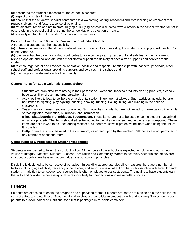(e) account to the student's teachers for the student's conduct;

(f) respect the rights of others;

(g) ensure that the student's conduct contributes to a welcoming, caring, respectful and safe learning environment that respects diversity and fosters a sense of belonging;

(h) refrain from, report and not tolerate bullying or bullying behaviour directed toward others in the school, whether or not it occurs within the school building, during the school day or by electronic means;

(i) positively contribute to the student's school and community.

**Parents** - From Section 16.2 of the Government of Alberta School Act

A parent of a student has the responsibility

(a) to take an active role in the student's educational success, including assisting the student in complying with section 12 of the School Act,

(b) to ensure that the parent's conduct contributes to a welcoming, caring, respectful and safe learning environment,

(c) to co-operate and collaborate with school staff to support the delivery of specialized supports and services to the student,

(d) to encourage, foster and advance collaborative, positive and respectful relationships with teachers, principals, other school staff and professionals providing supports and services in the school, and

(e) to engage in the student's school community

#### **General Rules for École Coloniale Estates School:**

- Students are prohibited from having in their possession: weapons, tobacco products, vaping products, alcoholic beverages, illicit drugs, and drug paraphernalia.
- Activities likely to lead to deliberate or accidental student injury are not allowed. Such activities include, but are not limited to: fighting, play-fighting, pushing, shoving, tripping, kicking, biting, and running in the halls or classrooms.
- Teasing and/or harassment are not allowed. Such activities include, but are not limited to: name calling, knowingly spreading false information, humiliation, and intimidation.
- **Bikes, Skateboards, Rollerblades, Scooters, etc.** These items are not to be used once the student has arrived on school property. The items should either be locked to the bike rack or secured in the fenced compound. These items are not allowed to be used during recesses. Students must wear protective helmets when riding their bikes. It is the law.
- **Cellphones** are only to be used in the classroom, as agreed upon by the teacher. Cellphones are not permitted in any bathroom or change room.

#### **Consequences & Processes for Student Misconduct**

Students are expected to follow the conduct policy. All members of the school are expected to hold true to our school values of Integrity, Respect, Support, Success, Inspiration and Community. Whereas not every scenario can be covered in a conduct policy, we believe that our values are our guiding principles.

Discipline is designed to be corrective of behaviour. In deciding appropriate discipline measures there are a number of factors including age of child, frequency of behaviour, and seriousness of infraction. As such, discipline is tailored for each student. In addition to consequences, counselling is often employed to assist students. The goal is to have students gain the skills and confidence necessary to take responsibility for their actions and make better choices.

#### **LUNCH**

Students are expected to eat in the assigned and supervised rooms. Students are not to eat outside or in the halls for the sake of safety and cleanliness. Good nutritional lunches are beneficial to student growth and learning. The school expects parents to provide balanced nutritional food that is packaged in reusable containers.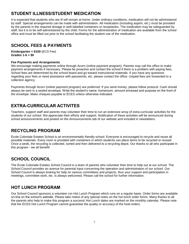# **STUDENT ILLNESS/STUDENT MEDICATION**

It is expected that students who are ill will remain at home. Under ordinary conditions, medication will not be administered by staff. Special arrangements can be made with administration. All medication (including aspirin, etc.) must be provided by the parents in the required dosage in well-labelled containers or receptacles. The medication may be safeguarded by staff, but it is to be self-administered by the child. Forms for the administration of medication are available from the school office and must be filled out prior to the school facilitating the student use of the medication.

# **SCHOOL FEES & PAYMENTS**

**Kindergarten = \$100** (ECS Fee) **Grades 1-6 = \$0**

#### **Fee Payments and Arrangements**

We encourage making payments online through Acorn (online payment program). Parents may call the office to make payment arrangements if necessary. Please be proactive and contact the school if there is a problem with paying fees. School fees are determined by the school board and go toward instructional materials. If you have any questions regarding your fees or need assistance with passwords, etc. please contact the office. Unpaid fees are forwarded to a collection agency.

Payments through Acorn (online payment program) are preferred. If you send money, please follow protocol. Cash should always be sent in a sealed envelope. Write the student's name, homeroom, amount enclosed and purpose on the front of the envelope. Make cheques payable to ÉCES unless otherwise indicated.

#### **EXTRA-CURRICULAR ACTIVITES**

Teachers, support staff and parents may volunteer their time to run an extensive array of extra-curricular activities for the students of our school. We appreciate their efforts and support. Notification of these activities will be announced during school announcements and posted on the Announcements tab of our website and included in newsletters.

# **RECYCLING PROGRAM**

École Coloniale Estates School is an environmentally friendly school. Everyone is encouraged to recycle and reuse all possible materials. Every room is provided with containers in which students can place items to be recycled or reused. Once a week, the recycling is collected, sorted and then delivered to a recycling depot. Our thanks to all who participate in this program - we all benefit!

# **SCHOOL COUNCIL**

The École Coloniale Estates School Council is a team of parents who volunteer their time to help out at our school. The School Council provides an avenue for parental input concerning the operation and administration of our school. Our School Council is always looking for help on various committees and projects, thus your support and participation in meetings, committee work, etc. is always welcomed. Please call the school for further information.

#### **HOT LUNCH PROGRAM**

Our School Council sponsors a volunteer run Hot Lunch Program which runs on a regular basis. Order forms are available on-line on the school's website. Please take notice of any special notes on the hot lunch order forms. Many thanks to all the parents who help to make this program a success! Hot Lunch dates are marked on the monthly calendar. Please note that the ÉCES Hot Lunch Program cannot guarantee the quality or accuracy of the food orders.